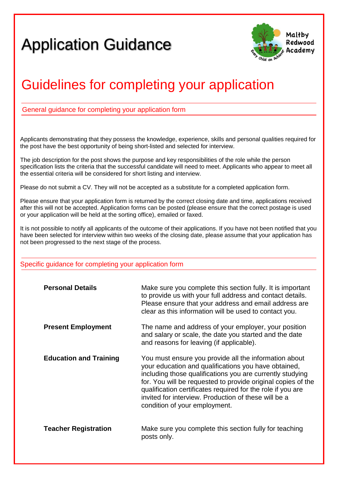## Application Guidance



## Guidelines for completing your application

General guidance for completing your application form form

Applicants demonstrating that they possess the knowledge, experience, skills and personal qualities required for the post have the best opportunity of being short-listed and selected for interview.

The job description for the post shows the purpose and key responsibilities of the role while the person specification lists the criteria that the successful candidate will need to meet. Applicants who appear to meet all the essential criteria will be considered for short listing and interview.

Please do not submit a CV. They will not be accepted as a substitute for a completed application form.

Please ensure that your application form is returned by the correct closing date and time, applications received after this will not be accepted. Application forms can be posted (please ensure that the correct postage is used or your application will be held at the sorting office), emailed or faxed.

It is not possible to notify all applicants of the outcome of their applications. If you have not been notified that you have been selected for interview within two weeks of the closing date, please assume that your application has not been progressed to the next stage of the process.

## Specific quidance for completing your application form

| <b>Personal Details</b>       | Make sure you complete this section fully. It is important<br>to provide us with your full address and contact details.<br>Please ensure that your address and email address are<br>clear as this information will be used to contact you.                                                                                                                                                         |
|-------------------------------|----------------------------------------------------------------------------------------------------------------------------------------------------------------------------------------------------------------------------------------------------------------------------------------------------------------------------------------------------------------------------------------------------|
| <b>Present Employment</b>     | The name and address of your employer, your position<br>and salary or scale, the date you started and the date<br>and reasons for leaving (if applicable).                                                                                                                                                                                                                                         |
| <b>Education and Training</b> | You must ensure you provide all the information about<br>your education and qualifications you have obtained,<br>including those qualifications you are currently studying<br>for. You will be requested to provide original copies of the<br>qualification certificates required for the role if you are<br>invited for interview. Production of these will be a<br>condition of your employment. |
| <b>Teacher Registration</b>   | Make sure you complete this section fully for teaching<br>posts only.                                                                                                                                                                                                                                                                                                                              |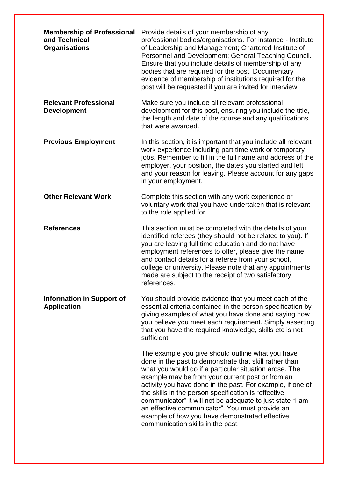| <b>Membership of Professional</b><br>and Technical<br><b>Organisations</b> | Provide details of your membership of any<br>professional bodies/organisations. For instance - Institute<br>of Leadership and Management; Chartered Institute of<br>Personnel and Development; General Teaching Council.<br>Ensure that you include details of membership of any<br>bodies that are required for the post. Documentary<br>evidence of membership of institutions required for the<br>post will be requested if you are invited for interview.                                                                                           |
|----------------------------------------------------------------------------|---------------------------------------------------------------------------------------------------------------------------------------------------------------------------------------------------------------------------------------------------------------------------------------------------------------------------------------------------------------------------------------------------------------------------------------------------------------------------------------------------------------------------------------------------------|
| <b>Relevant Professional</b><br><b>Development</b>                         | Make sure you include all relevant professional<br>development for this post, ensuring you include the title,<br>the length and date of the course and any qualifications<br>that were awarded.                                                                                                                                                                                                                                                                                                                                                         |
| <b>Previous Employment</b>                                                 | In this section, it is important that you include all relevant<br>work experience including part time work or temporary<br>jobs. Remember to fill in the full name and address of the<br>employer, your position, the dates you started and left<br>and your reason for leaving. Please account for any gaps<br>in your employment.                                                                                                                                                                                                                     |
| <b>Other Relevant Work</b>                                                 | Complete this section with any work experience or<br>voluntary work that you have undertaken that is relevant<br>to the role applied for.                                                                                                                                                                                                                                                                                                                                                                                                               |
| <b>References</b>                                                          | This section must be completed with the details of your<br>identified referees (they should not be related to you). If<br>you are leaving full time education and do not have<br>employment references to offer, please give the name<br>and contact details for a referee from your school,<br>college or university. Please note that any appointments<br>made are subject to the receipt of two satisfactory<br>references.                                                                                                                          |
| <b>Information in Support of</b><br><b>Application</b>                     | You should provide evidence that you meet each of the<br>essential criteria contained in the person specification by<br>giving examples of what you have done and saying how<br>you believe you meet each requirement. Simply asserting<br>that you have the required knowledge, skills etc is not<br>sufficient.                                                                                                                                                                                                                                       |
|                                                                            | The example you give should outline what you have<br>done in the past to demonstrate that skill rather than<br>what you would do if a particular situation arose. The<br>example may be from your current post or from an<br>activity you have done in the past. For example, if one of<br>the skills in the person specification is "effective"<br>communicator" it will not be adequate to just state "I am<br>an effective communicator". You must provide an<br>example of how you have demonstrated effective<br>communication skills in the past. |